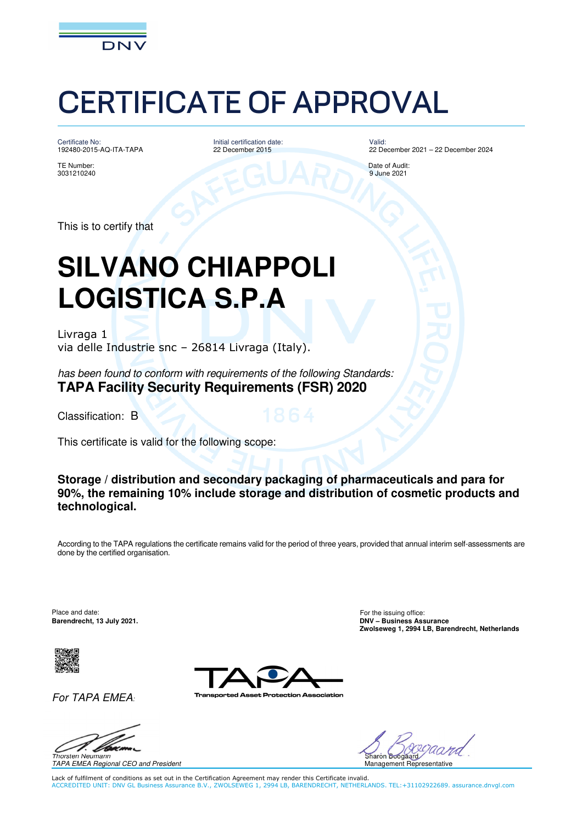

Certificate No: 192480-2015-AQ-ITA-TAPA

TE Number: Date of Audit: 3031210240 9 June 2021

Initial certification date: 22 December 2015

Valid: 22 December 2021 – 22 December 2024

This is to certify that

### **SILVANO CHIAPPOLI LOGISTICA S.P.A**

Livraga 1 via delle Industrie snc – 26814 Livraga (Italy).

has been found to conform with requirements of the following Standards: **TAPA Facility Security Requirements (FSR) 2020**

Classification: B

This certificate is valid for the following scope:

**Storage / distribution and secondary packaging of pharmaceuticals and para for 90%, the remaining 10% include storage and distribution of cosmetic products and technological.** 

According to the TAPA regulations the certificate remains valid for the period of three years, provided that annual interim self-assessments are done by the certified organisation.

Place and date: For the issuing office: **Barendrecht, 13 July 2021. DNV – Business Assurance Zwolseweg 1, 2994 LB, Barendrecht, Netherlands**



For TAPA EMEA:



otection Association



TAPA EMEA Regional CEO and President

Sharon Boogaard Management Representative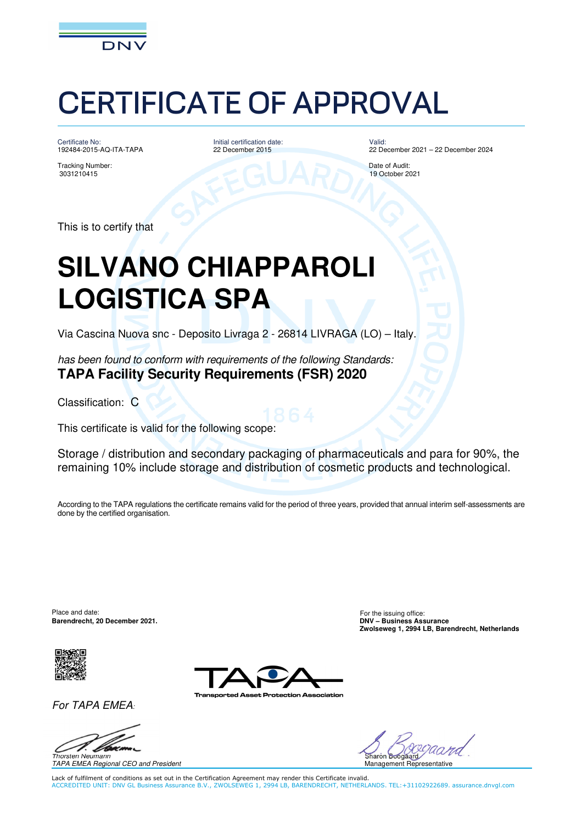

Certificate No: 192484-2015-AQ-ITA-TAPA

Tracking Number: Date of Audit:

Initial certification date: 22 December 2015

Valid: 22 December 2021 – 22 December 2024

3031210415 19 October 2021

This is to certify that

### **SILVANO CHIAPPAROLI LOGISTICA SPA**

Via Cascina Nuova snc - Deposito Livraga 2 - 26814 LIVRAGA (LO) – Italy.

has been found to conform with requirements of the following Standards: **TAPA Facility Security Requirements (FSR) 2020** 

Classification: C

This certificate is valid for the following scope:

Storage / distribution and secondary packaging of pharmaceuticals and para for 90%, the remaining 10% include storage and distribution of cosmetic products and technological.

According to the TAPA regulations the certificate remains valid for the period of three years, provided that annual interim self-assessments are done by the certified organisation.

Place and date: For the issuing office: For the issuing office: **Barendrecht, 20 December 2021. DNV – Business Assurance**



For TAPA EMEA:

Thorsten Neumann

TAPA EMEA Regional CEO and President

rotection Association



**Zwolseweg 1, 2994 LB, Barendrecht, Netherlands**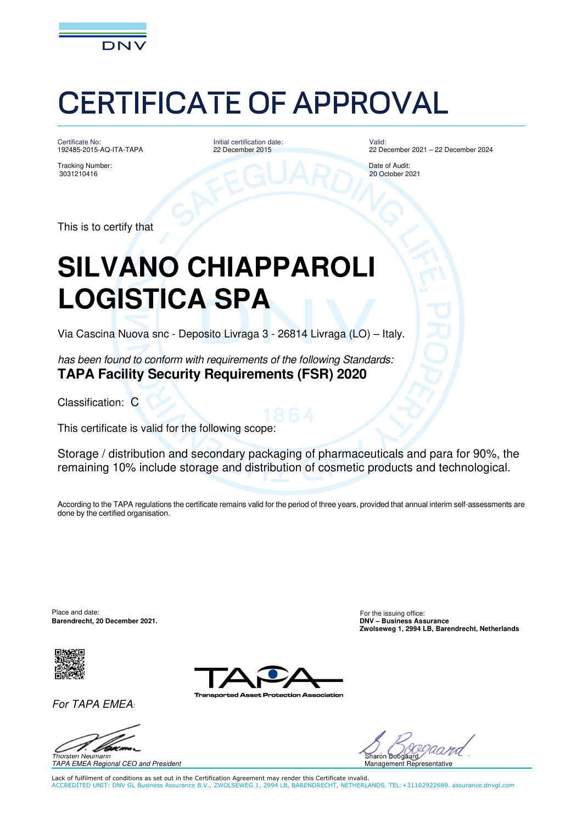

Certificate No: 192485-2015-AQ-ITA-TAPA

Tracking Number: Date of Audit:

Initial certification date: 22 December 2015

Valid: 22 December 2021 – 22 December 2024

3031210416 20 October 2021

This is to certify that

### **SILVANO CHIAPPAROLI LOGISTICA SPA**

Via Cascina Nuova snc - Deposito Livraga 3 - 26814 Livraga (LO) – Italy.

has been found to conform with requirements of the following Standards: **TAPA Facility Security Requirements (FSR) 2020** 

Classification: C

This certificate is valid for the following scope:

Storage / distribution and secondary packaging of pharmaceuticals and para for 90%, the remaining 10% include storage and distribution of cosmetic products and technological.

According to the TAPA regulations the certificate remains valid for the period of three years, provided that annual interim self-assessments are done by the certified organisation.

Place and date: For the issuing office: For the issuing office: **Barendrecht, 20 December 2021. DNV – Business Assurance**



For TAPA EMEA:



TAPA EMEA Regional CEO and President

otection Association



Lack of fulfilment of conditions as set out in the Certification Agreement may render this Certificate invalid. ACCREDITED UNIT: DNV GL Business Assurance B.V., ZWOLSEWEG 1, 2994 LB, BARENDRECHT, NETHERLANDS. TEL:+31102922689. assurance.dnvgl.com

**Zwolseweg 1, 2994 LB, Barendrecht, Netherlands**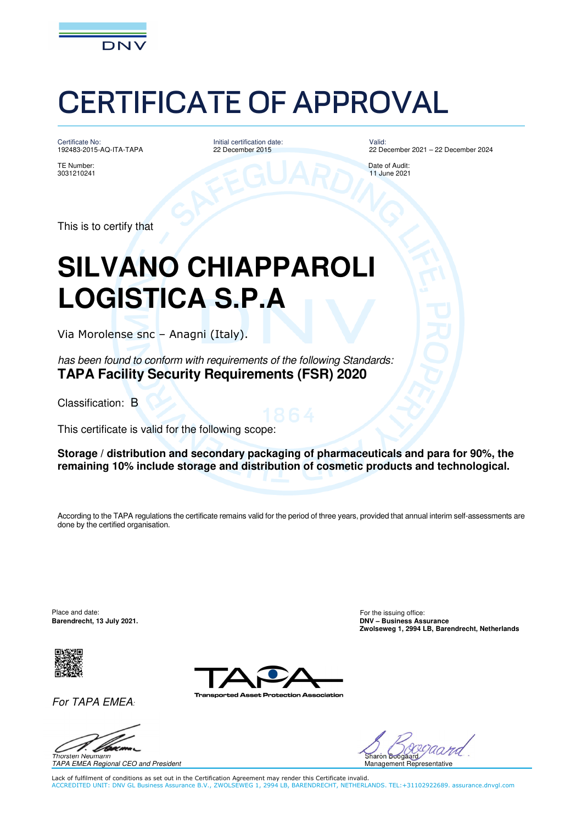

Certificate No: 192483-2015-AQ-ITA-TAPA

Initial certification date: 22 December 2015

Valid: 22 December 2021 – 22 December 2024

TE Number: Date of Audit: 3031210241 11 June 2021

This is to certify that

### **SILVANO CHIAPPAROLI LOGISTICA S.P.A**

Via Morolense snc – Anagni (Italy).

has been found to conform with requirements of the following Standards: **TAPA Facility Security Requirements (FSR) 2020**

Classification: B

This certificate is valid for the following scope:

**Storage / distribution and secondary packaging of pharmaceuticals and para for 90%, the remaining 10% include storage and distribution of cosmetic products and technological.** 

According to the TAPA regulations the certificate remains valid for the period of three years, provided that annual interim self-assessments are done by the certified organisation.

Place and date: For the issuing office: **Barendrecht, 13 July 2021. DNV – Business Assurance**



For TAPA EMEA:



otection Association



Sharon Boogaard Management Representative

**Zwolseweg 1, 2994 LB, Barendrecht, Netherlands**